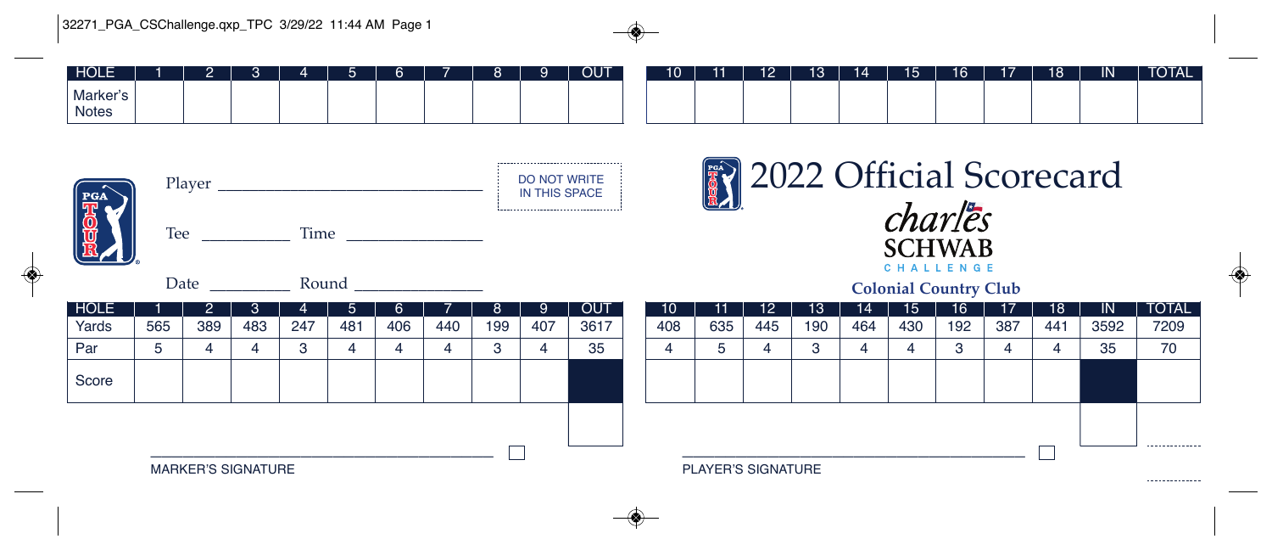| <b>HOLE</b>                                                                          |                           | 2          | 3   |     | 5           | 6.  |     | 8   | 9   | <b>OUT</b> |  | 10                                                  |                    | $12 \overline{ }$ | 13  | 14  | 15               | 16  | 17  | 18  | IN.       | <b>TOTAL</b>   |  |  |
|--------------------------------------------------------------------------------------|---------------------------|------------|-----|-----|-------------|-----|-----|-----|-----|------------|--|-----------------------------------------------------|--------------------|-------------------|-----|-----|------------------|-----|-----|-----|-----------|----------------|--|--|
| Marker's<br><b>Notes</b>                                                             |                           |            |     |     |             |     |     |     |     |            |  |                                                     |                    |                   |     |     |                  |     |     |     |           |                |  |  |
| <b>DO NOT WRITE</b><br>Player<br>IN THIS SPACE<br>PGA<br>Time<br>Tee $\qquad \qquad$ |                           |            |     |     |             |     |     |     |     |            |  | <sup>2022</sup> Official Scorecard<br><b>SCHWAB</b> |                    |                   |     |     |                  |     |     |     |           |                |  |  |
|                                                                                      |                           | Date Round |     |     |             |     |     |     |     |            |  | CHALLENGE<br><b>Colonial Country Club</b>           |                    |                   |     |     |                  |     |     |     |           |                |  |  |
| <b>HOLE</b>                                                                          |                           | 2          | 3   | 4   | $5^{\circ}$ | 6.  |     | 8   | 9   | <b>OUT</b> |  | 10                                                  |                    | 12                | 13  | 14  | 15 <sup>15</sup> | 16  | 17  | 18  | <b>IN</b> | <b>TOTAL</b>   |  |  |
| Yards                                                                                | 565                       | 389        | 483 | 247 | 481         | 406 | 440 | 199 | 407 | 3617       |  | 408                                                 | 635                | 445               | 190 | 464 | 430              | 192 | 387 | 441 | 3592      | 7209           |  |  |
| Par                                                                                  | 5                         | 4          | 4   | 3   | 4           | 4   | 4   | 3   | 4   | 35         |  | 4                                                   | 5.                 | 4                 | 3   | 4   | 4                | 3   | 4   | 4   | 35        | 70             |  |  |
| Score                                                                                |                           |            |     |     |             |     |     |     |     |            |  |                                                     |                    |                   |     |     |                  |     |     |     |           |                |  |  |
|                                                                                      |                           |            |     |     |             |     |     |     |     |            |  |                                                     |                    |                   |     |     |                  |     |     |     |           |                |  |  |
|                                                                                      |                           |            |     |     |             |     |     |     |     |            |  |                                                     |                    |                   |     |     |                  |     |     |     |           | -------------- |  |  |
|                                                                                      | <b>MARKER'S SIGNATURE</b> |            |     |     |             |     |     |     |     |            |  |                                                     | PLAYER'S SIGNATURE |                   |     |     |                  |     |     |     |           |                |  |  |

*<u>AAAAAAAAAAAAA</u>* 

 $141$   $17$   $10$   $17$   $18$   $10$   $11$   $17$   $17$